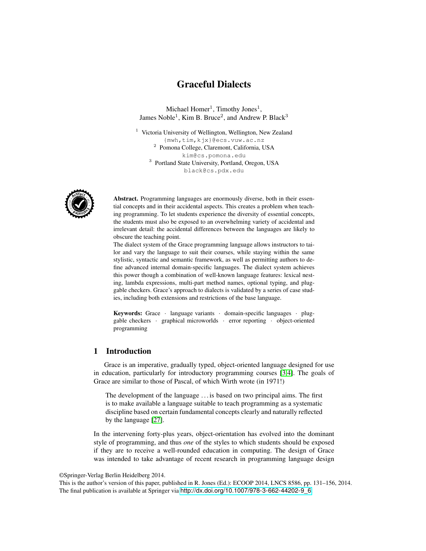# Graceful Dialects

Michael  $Homer<sup>1</sup>$ , Timothy Jones<sup>1</sup>, James Noble<sup>1</sup>, Kim B. Bruce<sup>2</sup>, and Andrew P. Black<sup>3</sup>

<sup>1</sup> Victoria University of Wellington, Wellington, New Zealand {mwh,tim,kjx}@ecs.vuw.ac.nz <sup>2</sup> Pomona College, Claremont, California, USA kim@cs.pomona.edu <sup>3</sup> Portland State University, Portland, Oregon, USA black@cs.pdx.edu



Abstract. Programming languages are enormously diverse, both in their essential concepts and in their accidental aspects. This creates a problem when teaching programming. To let students experience the diversity of essential concepts, the students must also be exposed to an overwhelming variety of accidental and irrelevant detail: the accidental differences between the languages are likely to obscure the teaching point.

The dialect system of the Grace programming language allows instructors to tailor and vary the language to suit their courses, while staying within the same stylistic, syntactic and semantic framework, as well as permitting authors to define advanced internal domain-specific languages. The dialect system achieves this power though a combination of well-known language features: lexical nesting, lambda expressions, multi-part method names, optional typing, and pluggable checkers. Grace's approach to dialects is validated by a series of case studies, including both extensions and restrictions of the base language.

Keywords: Grace · language variants · domain-specific languages · pluggable checkers · graphical microworlds · error reporting · object-oriented programming

# 1 Introduction

Grace is an imperative, gradually typed, object-oriented language designed for use in education, particularly for introductory programming courses [\[3,](#page-23-0)[4\]](#page-23-1). The goals of Grace are similar to those of Pascal, of which Wirth wrote (in 1971!)

The development of the language . . . is based on two principal aims. The first is to make available a language suitable to teach programming as a systematic discipline based on certain fundamental concepts clearly and naturally reflected by the language [\[27\]](#page-24-0).

In the intervening forty-plus years, object-orientation has evolved into the dominant style of programming, and thus *one* of the styles to which students should be exposed if they are to receive a well-rounded education in computing. The design of Grace was intended to take advantage of recent research in programming language design

©Springer-Verlag Berlin Heidelberg 2014.

This is the author's version of this paper, published in R. Jones (Ed.): ECOOP 2014, LNCS 8586, pp. 131–156, 2014. The final publication is available at Springer via [http://dx.doi.org/10.1007/978-3-662-44202-9\\_6](http://dx.doi.org/10.1007/978-3-662-44202-9_6).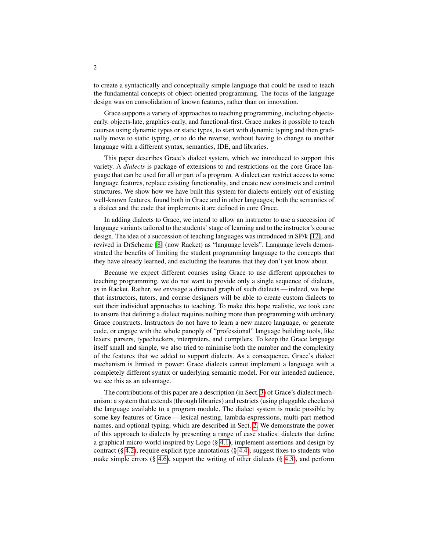to create a syntactically and conceptually simple language that could be used to teach the fundamental concepts of object-oriented programming. The focus of the language design was on consolidation of known features, rather than on innovation.

Grace supports a variety of approaches to teaching programming, including objectsearly, objects-late, graphics-early, and functional-first. Grace makes it possible to teach courses using dynamic types or static types, to start with dynamic typing and then gradually move to static typing, or to do the reverse, without having to change to another language with a different syntax, semantics, IDE, and libraries.

This paper describes Grace's dialect system, which we introduced to support this variety. A *dialects* is package of extensions to and restrictions on the core Grace language that can be used for all or part of a program. A dialect can restrict access to some language features, replace existing functionality, and create new constructs and control structures. We show how we have built this system for dialects entirely out of existing well-known features, found both in Grace and in other languages; both the semantics of a dialect and the code that implements it are defined in core Grace.

In adding dialects to Grace, we intend to allow an instructor to use a succession of language variants tailored to the students' stage of learning and to the instructor's course design. The idea of a succession of teaching languages was introduced in SP/k [\[12\]](#page-24-1), and revived in DrScheme [\[8\]](#page-23-2) (now Racket) as "language levels". Language levels demonstrated the benefits of limiting the student programming language to the concepts that they have already learned, and excluding the features that they don't yet know about.

Because we expect different courses using Grace to use different approaches to teaching programming, we do not want to provide only a single sequence of dialects, as in Racket. Rather, we envisage a directed graph of such dialects — indeed, we hope that instructors, tutors, and course designers will be able to create custom dialects to suit their individual approaches to teaching. To make this hope realistic, we took care to ensure that defining a dialect requires nothing more than programming with ordinary Grace constructs. Instructors do not have to learn a new macro language, or generate code, or engage with the whole panoply of "professional" language building tools, like lexers, parsers, typecheckers, interpreters, and compilers. To keep the Grace language itself small and simple, we also tried to minimise both the number and the complexity of the features that we added to support dialects. As a consequence, Grace's dialect mechanism is limited in power: Grace dialects cannot implement a language with a completely different syntax or underlying semantic model. For our intended audience, we see this as an advantage.

The contributions of this paper are a description (in Sect. [3\)](#page-6-0) of Grace's dialect mechanism: a system that extends (through libraries) and restricts (using pluggable checkers) the language available to a program module. The dialect system is made possible by some key features of Grace — lexical nesting, lambda-expressions, multi-part method names, and optional typing, which are described in Sect. [2.](#page-2-0) We demonstrate the power of this approach to dialects by presenting a range of case studies: dialects that define a graphical micro-world inspired by Logo (§ [4.1\)](#page-8-0), implement assertions and design by contract (§ [4.2\)](#page-10-0), require explicit type annotations (§ [4.4\)](#page-13-0), suggest fixes to students who make simple errors  $(\S 4.6)$  $(\S 4.6)$ , support the writing of other dialects  $(\S 4.3)$  $(\S 4.3)$ , and perform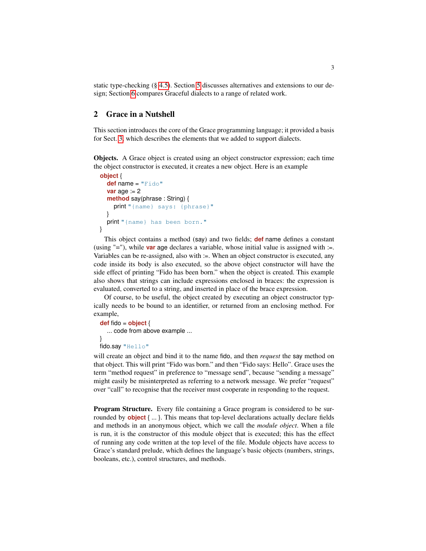static type-checking (§ [4.5\)](#page-14-0). Section [5](#page-16-1) discusses alternatives and extensions to our design; Section [6](#page-19-0) compares Graceful dialects to a range of related work.

# <span id="page-2-0"></span>2 Grace in a Nutshell

This section introduces the core of the Grace programming language; it provided a basis for Sect. [3,](#page-6-0) which describes the elements that we added to support dialects.

Objects. A Grace object is created using an object constructor expression; each time the object constructor is executed, it creates a new object. Here is an example

```
object {
  def name = "Fido"
  var age := 2method say(phrase : String) {
    print "{name} says: {phrase}"
  }
  print "{name} has been born."
}
```
This object contains a method (say) and two fields; **def** name defines a constant (using "="), while **var** age declares a variable, whose initial value is assigned with :=. Variables can be re-assigned, also with  $:=$ . When an object constructor is executed, any code inside its body is also executed, so the above object constructor will have the side effect of printing "Fido has been born." when the object is created. This example also shows that strings can include expressions enclosed in braces: the expression is evaluated, converted to a string, and inserted in place of the brace expression.

Of course, to be useful, the object created by executing an object constructor typically needs to be bound to an identifier, or returned from an enclosing method. For example,

```
def fido = object {
  ... code from above example ...
}
fido.say "Hello"
```
will create an object and bind it to the name fido, and then *request* the say method on that object. This will print "Fido was born." and then "Fido says: Hello". Grace uses the term "method request" in preference to "message send", because "sending a message" might easily be misinterpreted as referring to a network message. We prefer "request" over "call" to recognise that the receiver must cooperate in responding to the request.

Program Structure. Every file containing a Grace program is considered to be surrounded by **object** { ... }. This means that top-level declarations actually declare fields and methods in an anonymous object, which we call the *module object*. When a file is run, it is the constructor of this module object that is executed; this has the effect of running any code written at the top level of the file. Module objects have access to Grace's standard prelude, which defines the language's basic objects (numbers, strings, booleans, etc.), control structures, and methods.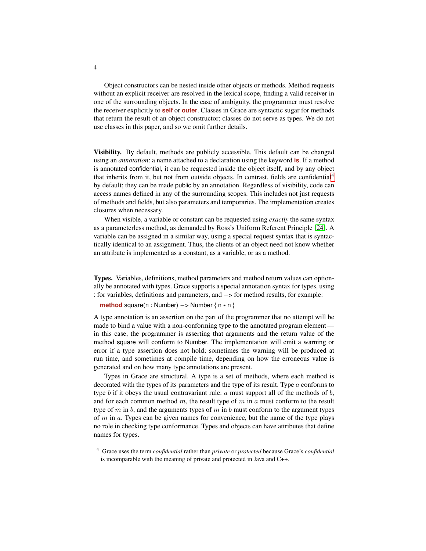Object constructors can be nested inside other objects or methods. Method requests without an explicit receiver are resolved in the lexical scope, finding a valid receiver in one of the surrounding objects. In the case of ambiguity, the programmer must resolve the receiver explicitly to **self** or **outer**. Classes in Grace are syntactic sugar for methods that return the result of an object constructor; classes do not serve as types. We do not use classes in this paper, and so we omit further details.

Visibility. By default, methods are publicly accessible. This default can be changed using an *annotation*: a name attached to a declaration using the keyword **is**. If a method is annotated confidential, it can be requested inside the object itself, and by any object that inherits from it, but not from outside objects. In contrast, fields are confidential[4](#page-3-0) by default; they can be made public by an annotation. Regardless of visibility, code can access names defined in any of the surrounding scopes. This includes not just requests of methods and fields, but also parameters and temporaries. The implementation creates closures when necessary.

When visible, a variable or constant can be requested using *exactly* the same syntax as a parameterless method, as demanded by Ross's Uniform Referent Principle [\[24\]](#page-24-2). A variable can be assigned in a similar way, using a special request syntax that is syntactically identical to an assignment. Thus, the clients of an object need not know whether an attribute is implemented as a constant, as a variable, or as a method.

Types. Variables, definitions, method parameters and method return values can optionally be annotated with types. Grace supports a special annotation syntax for types, using : for variables, definitions and parameters, and −> for method results, for example:

**method** square(n : Number) -> Number { n <sub>\*</sub> n }

A type annotation is an assertion on the part of the programmer that no attempt will be made to bind a value with a non-conforming type to the annotated program element in this case, the programmer is asserting that arguments and the return value of the method square will conform to Number. The implementation will emit a warning or error if a type assertion does not hold; sometimes the warning will be produced at run time, and sometimes at compile time, depending on how the erroneous value is generated and on how many type annotations are present.

Types in Grace are structural. A type is a set of methods, where each method is decorated with the types of its parameters and the type of its result. Type  $a$  conforms to type b if it obeys the usual contravariant rule: a must support all of the methods of b, and for each common method  $m$ , the result type of  $m$  in  $a$  must conform to the result type of  $m$  in  $b$ , and the arguments types of  $m$  in  $b$  must conform to the argument types of  $m$  in  $a$ . Types can be given names for convenience, but the name of the type plays no role in checking type conformance. Types and objects can have attributes that define names for types.

<span id="page-3-0"></span><sup>4</sup> Grace uses the term *confidential* rather than *private* or *protected* because Grace's *confidential* is incomparable with the meaning of private and protected in Java and C++.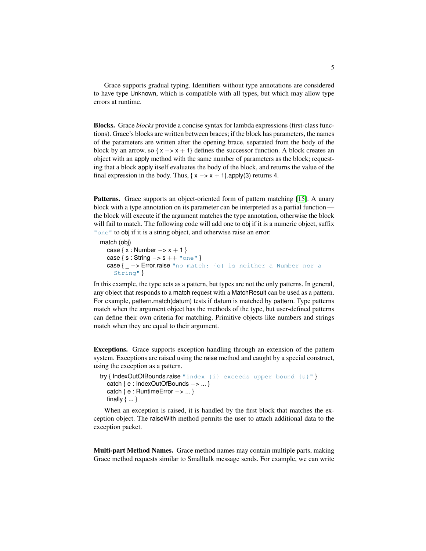Grace supports gradual typing. Identifiers without type annotations are considered to have type Unknown, which is compatible with all types, but which may allow type errors at runtime.

Blocks. Grace *blocks* provide a concise syntax for lambda expressions (first-class functions). Grace's blocks are written between braces; if the block has parameters, the names of the parameters are written after the opening brace, separated from the body of the block by an arrow, so  $\{x \rightarrow x + 1\}$  defines the successor function. A block creates an object with an apply method with the same number of parameters as the block; requesting that a block apply itself evaluates the body of the block, and returns the value of the final expression in the body. Thus,  $\{x \rightarrow x + 1\}$ .apply(3) returns 4.

Patterns. Grace supports an object-oriented form of pattern matching [\[15\]](#page-24-3). A unary block with a type annotation on its parameter can be interpreted as a partial function the block will execute if the argument matches the type annotation, otherwise the block will fail to match. The following code will add one to obj if it is a numeric object, suffix "one" to obj if it is a string object, and otherwise raise an error:

```
match (obj)
  case \{x : \text{Number} \rightarrow x + 1\}case { s : String −> s ++ "one" }
  case { _ −> Error.raise "no match: {o} is neither a Number nor a
     String" }
```
In this example, the type acts as a pattern, but types are not the only patterns. In general, any object that responds to a match request with a MatchResult can be used as a pattern. For example, pattern.match(datum) tests if datum is matched by pattern. Type patterns match when the argument object has the methods of the type, but user-defined patterns can define their own criteria for matching. Primitive objects like numbers and strings match when they are equal to their argument.

Exceptions. Grace supports exception handling through an extension of the pattern system. Exceptions are raised using the raise method and caught by a special construct, using the exception as a pattern.

```
try { IndexOutOfBounds.raise "index {i} exceeds upper bound {u}" }
  catch { e : IndexOutOfBounds −> ... }
  catch { e : RuntimeError −> ... }
  finally \{ \dots \}
```
When an exception is raised, it is handled by the first block that matches the exception object. The raiseWith method permits the user to attach additional data to the exception packet.

Multi-part Method Names. Grace method names may contain multiple parts, making Grace method requests similar to Smalltalk message sends. For example, we can write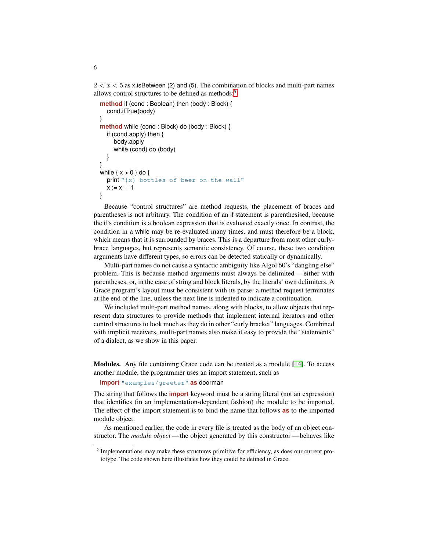$2 < x < 5$  as x.isBetween (2) and (5). The combination of blocks and multi-part names allows control structures to be defined as methods:<sup>[5](#page-5-0)</sup>

```
method if (cond : Boolean) then (body : Block) {
  cond.ifTrue(body)
}
method while (cond : Block) do (body : Block) {
  if (cond.apply) then {
     body.apply
     while (cond) do (body)
  }
}
while \{ x > 0 \} do \{print "{x} bottles of beer on the wall"
  x := x - 1}
```
Because "control structures" are method requests, the placement of braces and parentheses is not arbitrary. The condition of an if statement is parenthesised, because the if's condition is a boolean expression that is evaluated exactly once. In contrast, the condition in a while may be re-evaluated many times, and must therefore be a block, which means that it is surrounded by braces. This is a departure from most other curlybrace languages, but represents semantic consistency. Of course, these two condition arguments have different types, so errors can be detected statically or dynamically.

Multi-part names do not cause a syntactic ambiguity like Algol 60's "dangling else" problem. This is because method arguments must always be delimited — either with parentheses, or, in the case of string and block literals, by the literals' own delimiters. A Grace program's layout must be consistent with its parse: a method request terminates at the end of the line, unless the next line is indented to indicate a continuation.

We included multi-part method names, along with blocks, to allow objects that represent data structures to provide methods that implement internal iterators and other control structures to look much as they do in other "curly bracket" languages. Combined with implicit receivers, multi-part names also make it easy to provide the "statements" of a dialect, as we show in this paper.

Modules. Any file containing Grace code can be treated as a module [\[14\]](#page-24-4). To access another module, the programmer uses an import statement, such as

**import** "examples/greeter" **as** doorman

The string that follows the **import** keyword must be a string literal (not an expression) that identifies (in an implementation-dependent fashion) the module to be imported. The effect of the import statement is to bind the name that follows **as** to the imported module object.

As mentioned earlier, the code in every file is treated as the body of an object constructor. The *module object* — the object generated by this constructor — behaves like

<span id="page-5-0"></span><sup>&</sup>lt;sup>5</sup> Implementations may make these structures primitive for efficiency, as does our current prototype. The code shown here illustrates how they could be defined in Grace.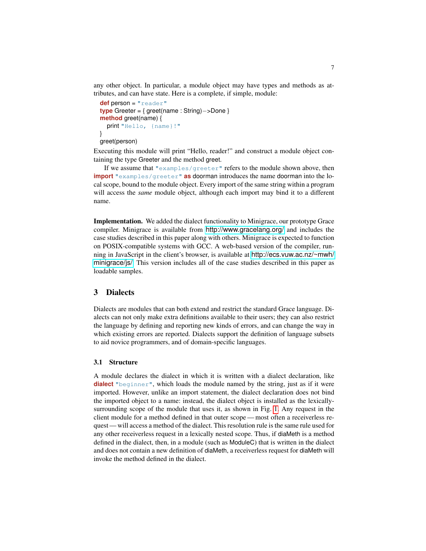any other object. In particular, a module object may have types and methods as attributes, and can have state. Here is a complete, if simple, module:

```
def person = "reader"
type Greeter = { greet(name : String)−>Done }
method greet(name) {
  print "Hello, {name}!"
}
greet(person)
```
Executing this module will print "Hello, reader!" and construct a module object containing the type Greeter and the method greet.

If we assume that "examples/greeter" refers to the module shown above, then **import** "examples/greeter" **as** doorman introduces the name doorman into the local scope, bound to the module object. Every import of the same string within a program will access the *same* module object, although each import may bind it to a different name.

Implementation. We added the dialect functionality to Minigrace, our prototype Grace compiler. Minigrace is available from <http://www.gracelang.org/> and includes the case studies described in this paper along with others. Minigrace is expected to function on POSIX-compatible systems with GCC. A web-based version of the compiler, running in JavaScript in the client's browser, is available at [http://ecs.vuw.ac.nz/~mwh/](http://ecs.vuw.ac.nz/~mwh/minigrace/js/) [minigrace/js/](http://ecs.vuw.ac.nz/~mwh/minigrace/js/). This version includes all of the case studies described in this paper as loadable samples.

# <span id="page-6-0"></span>3 Dialects

Dialects are modules that can both extend and restrict the standard Grace language. Dialects can not only make extra definitions available to their users; they can also restrict the language by defining and reporting new kinds of errors, and can change the way in which existing errors are reported. Dialects support the definition of language subsets to aid novice programmers, and of domain-specific languages.

### 3.1 Structure

A module declares the dialect in which it is written with a dialect declaration, like **dialect** "beginner", which loads the module named by the string, just as if it were imported. However, unlike an import statement, the dialect declaration does not bind the imported object to a name: instead, the dialect object is installed as the lexicallysurrounding scope of the module that uses it, as shown in Fig. [1.](#page-7-0) Any request in the client module for a method defined in that outer scope — most often a receiverless request — will access a method of the dialect. This resolution rule is the same rule used for any other receiverless request in a lexically nested scope. Thus, if diaMeth is a method defined in the dialect, then, in a module (such as ModuleC) that is written in the dialect and does not contain a new definition of diaMeth, a receiverless request for diaMeth will invoke the method defined in the dialect.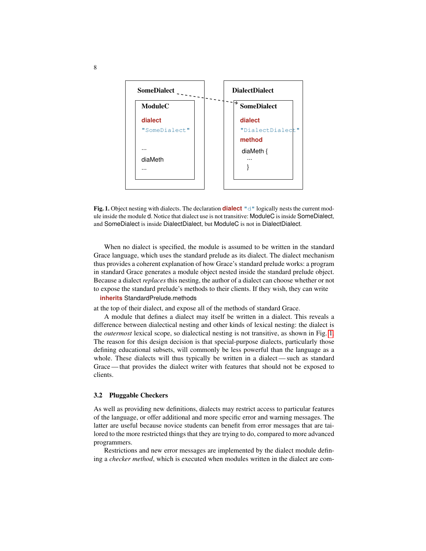

<span id="page-7-0"></span>Fig. 1. Object nesting with dialects. The declaration **dialect** "d" logically nests the current module inside the module d. Notice that dialect use is not transitive: ModuleC is inside SomeDialect, and SomeDialect is inside DialectDialect, but ModuleC is not in DialectDialect.

When no dialect is specified, the module is assumed to be written in the standard Grace language, which uses the standard prelude as its dialect. The dialect mechanism thus provides a coherent explanation of how Grace's standard prelude works: a program in standard Grace generates a module object nested inside the standard prelude object. Because a dialect *replaces* this nesting, the author of a dialect can choose whether or not to expose the standard prelude's methods to their clients. If they wish, they can write

**inherits** StandardPrelude.methods

at the top of their dialect, and expose all of the methods of standard Grace.

A module that defines a dialect may itself be written in a dialect. This reveals a difference between dialectical nesting and other kinds of lexical nesting: the dialect is the *outermost* lexical scope, so dialectical nesting is not transitive, as shown in Fig. [1.](#page-7-0) The reason for this design decision is that special-purpose dialects, particularly those defining educational subsets, will commonly be less powerful than the language as a whole. These dialects will thus typically be written in a dialect — such as standard Grace — that provides the dialect writer with features that should not be exposed to clients.

### 3.2 Pluggable Checkers

As well as providing new definitions, dialects may restrict access to particular features of the language, or offer additional and more specific error and warning messages. The latter are useful because novice students can benefit from error messages that are tailored to the more restricted things that they are trying to do, compared to more advanced programmers.

Restrictions and new error messages are implemented by the dialect module defining a *checker method*, which is executed when modules written in the dialect are com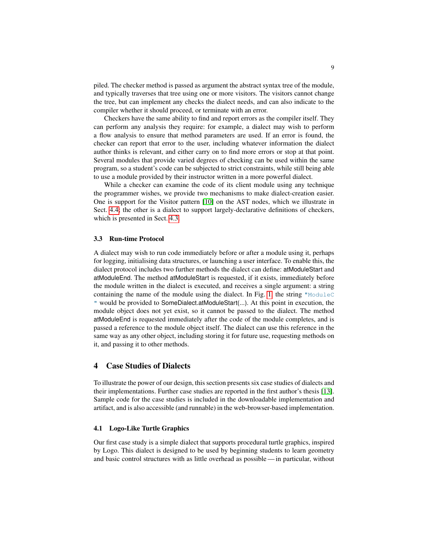piled. The checker method is passed as argument the abstract syntax tree of the module, and typically traverses that tree using one or more visitors. The visitors cannot change the tree, but can implement any checks the dialect needs, and can also indicate to the compiler whether it should proceed, or terminate with an error.

Checkers have the same ability to find and report errors as the compiler itself. They can perform any analysis they require: for example, a dialect may wish to perform a flow analysis to ensure that method parameters are used. If an error is found, the checker can report that error to the user, including whatever information the dialect author thinks is relevant, and either carry on to find more errors or stop at that point. Several modules that provide varied degrees of checking can be used within the same program, so a student's code can be subjected to strict constraints, while still being able to use a module provided by their instructor written in a more powerful dialect.

While a checker can examine the code of its client module using any technique the programmer wishes, we provide two mechanisms to make dialect-creation easier. One is support for the Visitor pattern [\[10\]](#page-24-5) on the AST nodes, which we illustrate in Sect. [4.4;](#page-13-0) the other is a dialect to support largely-declarative definitions of checkers, which is presented in Sect. [4.3.](#page-11-0)

#### 3.3 Run-time Protocol

A dialect may wish to run code immediately before or after a module using it, perhaps for logging, initialising data structures, or launching a user interface. To enable this, the dialect protocol includes two further methods the dialect can define: atModuleStart and atModuleEnd. The method atModuleStart is requested, if it exists, immediately before the module written in the dialect is executed, and receives a single argument: a string containing the name of the module using the dialect. In Fig. [1,](#page-7-0) the string "ModuleC " would be provided to SomeDialect.atModuleStart(...). At this point in execution, the module object does not yet exist, so it cannot be passed to the dialect. The method atModuleEnd is requested immediately after the code of the module completes, and is passed a reference to the module object itself. The dialect can use this reference in the same way as any other object, including storing it for future use, requesting methods on it, and passing it to other methods.

### 4 Case Studies of Dialects

To illustrate the power of our design, this section presents six case studies of dialects and their implementations. Further case studies are reported in the first author's thesis [\[13\]](#page-24-6). Sample code for the case studies is included in the downloadable implementation and artifact, and is also accessible (and runnable) in the web-browser-based implementation.

### <span id="page-8-0"></span>4.1 Logo-Like Turtle Graphics

Our first case study is a simple dialect that supports procedural turtle graphics, inspired by Logo. This dialect is designed to be used by beginning students to learn geometry and basic control structures with as little overhead as possible — in particular, without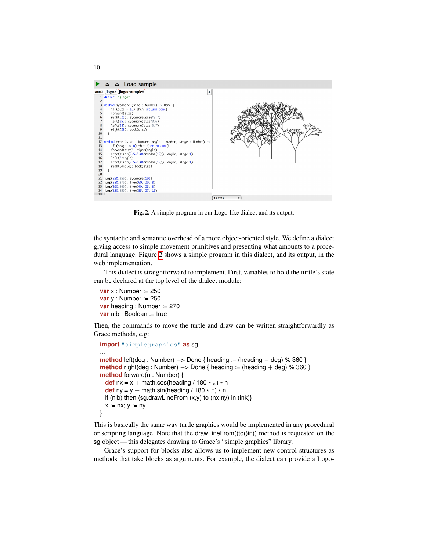

<span id="page-9-0"></span>Fig. 2. A simple program in our Logo-like dialect and its output.

the syntactic and semantic overhead of a more object-oriented style. We define a dialect giving access to simple movement primitives and presenting what amounts to a procedural language. Figure [2](#page-9-0) shows a simple program in this dialect, and its output, in the web implementation.

This dialect is straightforward to implement. First, variables to hold the turtle's state can be declared at the top level of the dialect module:

```
var x : Number := 250
var y : Number := 250
var heading : Number := 270
var nib : Boolean := true
```
Then, the commands to move the turtle and draw can be written straightforwardly as Grace methods, e.g:

```
import "simplegraphics" as sg
...
method left(deg : Number) –> Done { heading := (heading – deg) % 360 }
method right(deg : Number) –> Done { heading := (heading + deg) % 360 }
method forward(n : Number) {
  def nx = x + math.cos(heading / 180 \star \pi) \star n
  def ny = y + math.sin(heading / 180 \star \pi) \star n
 if (nib) then \{sg.drawLineFrom (x,y) to (nx,ny) in (ink)\}\x := nx; y := ny}
```
This is basically the same way turtle graphics would be implemented in any procedural or scripting language. Note that the drawLineFrom()to()in() method is requested on the sg object — this delegates drawing to Grace's "simple graphics" library.

Grace's support for blocks also allows us to implement new control structures as methods that take blocks as arguments. For example, the dialect can provide a Logo-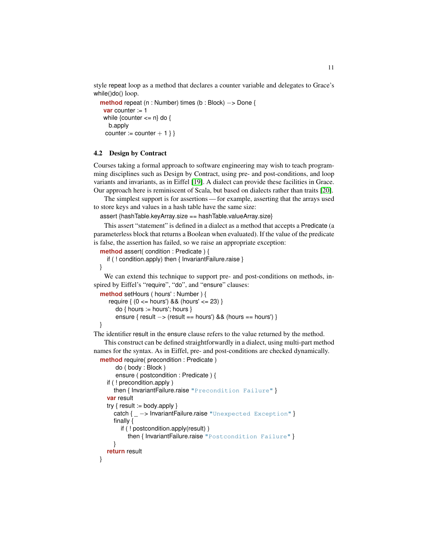style repeat loop as a method that declares a counter variable and delegates to Grace's while()do() loop.

```
method repeat (n : Number) times (b : Block) –> Done {
 var counter := 1
 while {counter <= n} do {
   b.apply
 counter := counter + 1 \}
```
### <span id="page-10-0"></span>4.2 Design by Contract

}

Courses taking a formal approach to software engineering may wish to teach programming disciplines such as Design by Contract, using pre- and post-conditions, and loop variants and invariants, as in Eiffel [\[19\]](#page-24-7). A dialect can provide these facilities in Grace. Our approach here is reminiscent of Scala, but based on dialects rather than traits [\[20\]](#page-24-8).

The simplest support is for assertions — for example, asserting that the arrays used to store keys and values in a hash table have the same size:

assert {hashTable.keyArray.size == hashTable.valueArray.size}

This assert "statement" is defined in a dialect as a method that accepts a Predicate (a parameterless block that returns a Boolean when evaluated). If the value of the predicate is false, the assertion has failed, so we raise an appropriate exception:

```
method assert( condition : Predicate ) {
  if ( ! condition.apply) then { InvariantFailure.raise }
}
```
We can extend this technique to support pre- and post-conditions on methods, inspired by Eiffel's "require", "do", and "ensure" clauses:

```
method setHours ( hours' : Number ) {
   require \{(0 \le - hours') && (hours' \le -23) }
     do { hours := hours'; hours}ensure { result −> (result == hours') && (hours == hours') }
}
```
The identifier result in the ensure clause refers to the value returned by the method.

This construct can be defined straightforwardly in a dialect, using multi-part method names for the syntax. As in Eiffel, pre- and post-conditions are checked dynamically.

```
method require( precondition : Predicate )
     do ( body : Block )
     ensure ( postcondition : Predicate ) {
  if ( ! precondition.apply )
    then { InvariantFailure.raise "Precondition Failure" }
  var result
  try { result := body.apply }
    catch { _ −> InvariantFailure.raise "Unexpected Exception" }
    finally {
       if ( ! postcondition.apply(result) )
          then { InvariantFailure.raise "Postcondition Failure" }
    }
  return result
```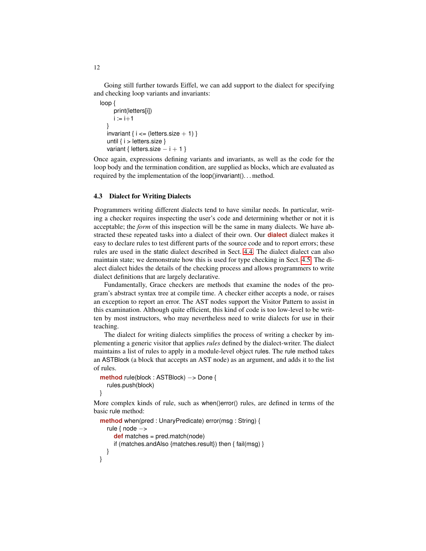Going still further towards Eiffel, we can add support to the dialect for specifying and checking loop variants and invariants:

```
loop {
      print(letters[i])
     i := i + 1}
   invariant {i \leq (letters.size + 1) }
   until { i > letters.size }
   variant { letters.size – i + 1 }
```
Once again, expressions defining variants and invariants, as well as the code for the loop body and the termination condition, are supplied as blocks, which are evaluated as required by the implementation of the loop()invariant(). . . method.

### <span id="page-11-0"></span>4.3 Dialect for Writing Dialects

Programmers writing different dialects tend to have similar needs. In particular, writing a checker requires inspecting the user's code and determining whether or not it is acceptable; the *form* of this inspection will be the same in many dialects. We have abstracted these repeated tasks into a dialect of their own. Our **dialect** dialect makes it easy to declare rules to test different parts of the source code and to report errors; these rules are used in the static dialect described in Sect. [4.4.](#page-13-0) The dialect dialect can also maintain state; we demonstrate how this is used for type checking in Sect. [4.5.](#page-14-0) The dialect dialect hides the details of the checking process and allows programmers to write dialect definitions that are largely declarative.

Fundamentally, Grace checkers are methods that examine the nodes of the program's abstract syntax tree at compile time. A checker either accepts a node, or raises an exception to report an error. The AST nodes support the Visitor Pattern to assist in this examination. Although quite efficient, this kind of code is too low-level to be written by most instructors, who may nevertheless need to write dialects for use in their teaching.

The dialect for writing dialects simplifies the process of writing a checker by implementing a generic visitor that applies *rules* defined by the dialect-writer. The dialect maintains a list of rules to apply in a module-level object rules. The rule method takes an ASTBlock (a block that accepts an AST node) as an argument, and adds it to the list of rules.

```
method rule(block : ASTBlock) −> Done {
  rules.push(block)
}
```
More complex kinds of rule, such as when()error() rules, are defined in terms of the basic rule method:

```
method when(pred : UnaryPredicate) error(msg : String) {
  rule { node −>
     def matches = pred.match(node)
     if (matches.andAlso {matches.result}) then { fail(msg) }
  }
}
```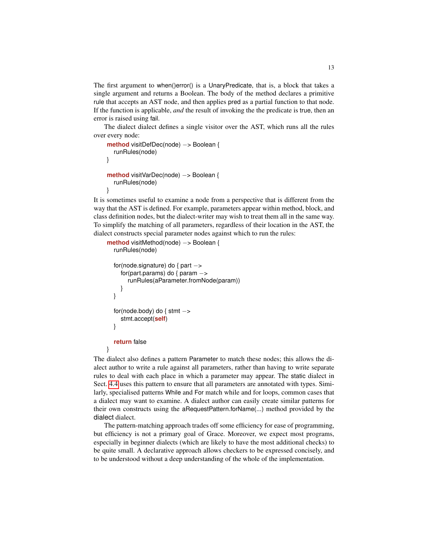The first argument to when()error() is a UnaryPredicate, that is, a block that takes a single argument and returns a Boolean. The body of the method declares a primitive rule that accepts an AST node, and then applies pred as a partial function to that node. If the function is applicable, *and* the result of invoking the the predicate is true, then an error is raised using fail.

The dialect dialect defines a single visitor over the AST, which runs all the rules over every node:

```
method visitDefDec(node) −> Boolean {
  runRules(node)
}
method visitVarDec(node) –> Boolean {
  runRules(node)
}
```
It is sometimes useful to examine a node from a perspective that is different from the way that the AST is defined. For example, parameters appear within method, block, and class definition nodes, but the dialect-writer may wish to treat them all in the same way. To simplify the matching of all parameters, regardless of their location in the AST, the dialect constructs special parameter nodes against which to run the rules:

```
method visitMethod(node) –> Boolean {
  runRules(node)
  for(node.signature) do { part −>
    for(part.params) do { param −>
       runRules(aParameter.fromNode(param))
    }
  }
  for(node.body) do { stmt −>
    stmt.accept(self)
  }
  return false
}
```
<span id="page-12-0"></span>The dialect also defines a pattern Parameter to match these nodes; this allows the dialect author to write a rule against all parameters, rather than having to write separate rules to deal with each place in which a parameter may appear. The static dialect in Sect. [4.4](#page-13-0) uses this pattern to ensure that all parameters are annotated with types. Similarly, specialised patterns While and For match while and for loops, common cases that a dialect may want to examine. A dialect author can easily create similar patterns for their own constructs using the aRequestPattern.forName(...) method provided by the dialect dialect.

The pattern-matching approach trades off some efficiency for ease of programming, but efficiency is not a primary goal of Grace. Moreover, we expect most programs, especially in beginner dialects (which are likely to have the most additional checks) to be quite small. A declarative approach allows checkers to be expressed concisely, and to be understood without a deep understanding of the whole of the implementation.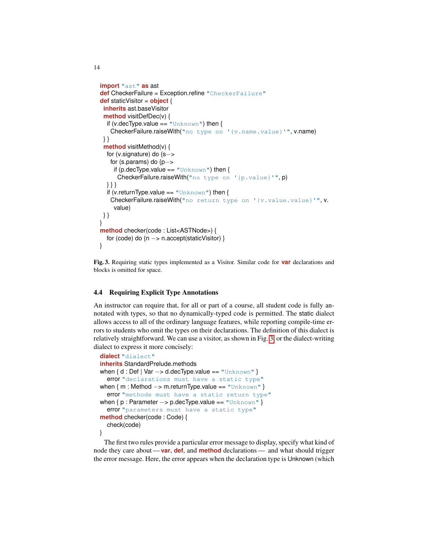```
import "ast" as ast
def CheckerFailure = Exception.refine "CheckerFailure"
def staticVisitor = object {
 inherits ast.baseVisitor
 method visitDefDec(v) {
  if (v.decType.value == "Unknown") then {
   CheckerFailure.raiseWith("no type on '{v.name.value}'", v.name)
 } }
 method visitMethod(v) {
  for (v.signature) do {s−>
   for (s.params) do {p−>
    if (p.decType.value == "Unknown") then {
      CheckerFailure.raiseWith("no type on '{p.value}'", p)
  } } }
  if (v.returnType.value == "Unknown") then \{CheckerFailure.raiseWith("no return type on '{v.value.value}'", v.
    value)
} }
}
method checker(code : List<ASTNode>) {
  for (code) do {n −> n.accept(staticVisitor) }
}
```
<span id="page-13-1"></span>Fig. 3. Requiring static types implemented as a Visitor. Similar code for **var** declarations and blocks is omitted for space.

### <span id="page-13-0"></span>4.4 Requiring Explicit Type Annotations

An instructor can require that, for all or part of a course, all student code is fully annotated with types, so that no dynamically-typed code is permitted. The static dialect allows access to all of the ordinary language features, while reporting compile-time errors to students who omit the types on their declarations. The definition of this dialect is relatively straightforward. We can use a visitor, as shown in Fig. [3,](#page-13-1) or the dialect-writing dialect to express it more concisely:

```
dialect "dialect"
inherits StandardPrelude.methods
when { d : Def | Var -> d.decType.value == "Unknown" }
  error "declarations must have a static type"
when { m : Method -> m.returnType.value == "Unknown" }
  error "methods must have a static return type"
when { p : Parameter -> p.decType.value == "Unknown" }
  error "parameters must have a static type"
method checker(code : Code) {
  check(code)
}
```
The first two rules provide a particular error message to display, specify what kind of node they care about — **var**, **def**, and **method** declarations — and what should trigger the error message. Here, the error appears when the declaration type is Unknown (which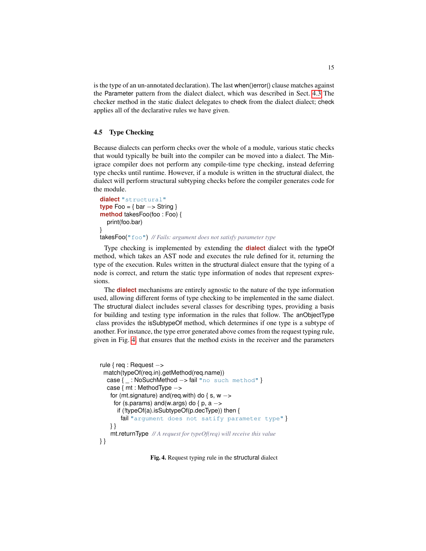is the type of an un-annotated declaration). The last when()error() clause matches against the Parameter pattern from the dialect dialect, which was described in Sect. [4.3](#page-12-0) The checker method in the static dialect delegates to check from the dialect dialect; check applies all of the declarative rules we have given.

### <span id="page-14-0"></span>4.5 Type Checking

Because dialects can perform checks over the whole of a module, various static checks that would typically be built into the compiler can be moved into a dialect. The Minigrace compiler does not perform any compile-time type checking, instead deferring type checks until runtime. However, if a module is written in the structural dialect, the dialect will perform structural subtyping checks before the compiler generates code for the module.

```
dialect "structural"
type Foo = { bar −> String }
method takesFoo(foo : Foo) {
  print(foo.bar)
}
takesFoo("foo") // Fails: argument does not satisfy parameter type
```
Type checking is implemented by extending the **dialect** dialect with the typeOf method, which takes an AST node and executes the rule defined for it, returning the type of the execution. Rules written in the structural dialect ensure that the typing of a node is correct, and return the static type information of nodes that represent expressions.

The **dialect** mechanisms are entirely agnostic to the nature of the type information used, allowing different forms of type checking to be implemented in the same dialect. The structural dialect includes several classes for describing types, providing a basis for building and testing type information in the rules that follow. The anObjectType class provides the isSubtypeOf method, which determines if one type is a subtype of another. For instance, the type error generated above comes from the request typing rule, given in Fig. [4,](#page-14-1) that ensures that the method exists in the receiver and the parameters

```
rule { req : Request −>
 match(typeOf(req.in).getMethod(req.name))
  case { _ : NoSuchMethod −> fail "no such method" }
  case { mt : MethodType −>
   for (mt.signature) and(req.with) do \{s, w \rightarrowfor (s.params) and(w.args) do \{p, a -if (!typeOf(a).isSubtypeOf(p.decType)) then {
       fail "argument does not satify parameter type" }
   } }
   mt.returnType // A request for typeOf(req) will receive this value
} }
```
<span id="page-14-1"></span>Fig. 4. Request typing rule in the structural dialect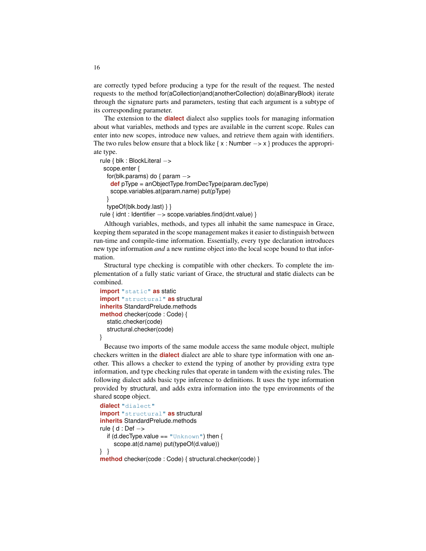are correctly typed before producing a type for the result of the request. The nested requests to the method for(aCollection)and(anotherCollection) do(aBinaryBlock) iterate through the signature parts and parameters, testing that each argument is a subtype of its corresponding parameter.

The extension to the **dialect** dialect also supplies tools for managing information about what variables, methods and types are available in the current scope. Rules can enter into new scopes, introduce new values, and retrieve them again with identifiers. The two rules below ensure that a block like  $\{x : \text{Number } \rightarrow x\}$  produces the appropriate type.

```
rule { blk : BlockLiteral −>
 scope.enter {
  for(blk.params) do { param −>
   def pType = anObjectType.fromDecType(param.decType)
   scope.variables.at(param.name) put(pType)
  }
  typeOf(blk.body.last) } }
```
rule { idnt : Identifier −> scope.variables.find(idnt.value) }

Although variables, methods, and types all inhabit the same namespace in Grace, keeping them separated in the scope management makes it easier to distinguish between run-time and compile-time information. Essentially, every type declaration introduces new type information *and* a new runtime object into the local scope bound to that information.

Structural type checking is compatible with other checkers. To complete the implementation of a fully static variant of Grace, the structural and static dialects can be combined.

```
import "static" as static
import "structural" as structural
inherits StandardPrelude.methods
method checker(code : Code) {
  static.checker(code)
  structural.checker(code)
}
```
Because two imports of the same module access the same module object, multiple checkers written in the **dialect** dialect are able to share type information with one another. This allows a checker to extend the typing of another by providing extra type information, and type checking rules that operate in tandem with the existing rules. The following dialect adds basic type inference to definitions. It uses the type information provided by structural, and adds extra information into the type environments of the shared scope object.

```
dialect "dialect"
import "structural" as structural
inherits StandardPrelude.methods
rule { d : Def −>
  if (d.decType.value == "Unknown") then {
    scope.at(d.name) put(typeOf(d.value))
} }
method checker(code : Code) { structural.checker(code) }
```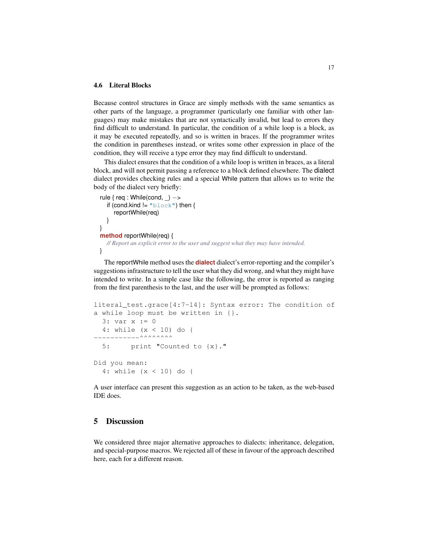### <span id="page-16-0"></span>4.6 Literal Blocks

Because control structures in Grace are simply methods with the same semantics as other parts of the language, a programmer (particularly one familiar with other languages) may make mistakes that are not syntactically invalid, but lead to errors they find difficult to understand. In particular, the condition of a while loop is a block, as it may be executed repeatedly, and so is written in braces. If the programmer writes the condition in parentheses instead, or writes some other expression in place of the condition, they will receive a type error they may find difficult to understand.

This dialect ensures that the condition of a while loop is written in braces, as a literal block, and will not permit passing a reference to a block defined elsewhere. The dialect dialect provides checking rules and a special While pattern that allows us to write the body of the dialect very briefly:

```
rule { req : While(cond, ) ->
  if (cond.kind != "_{\text{block}}") then {
     reportWhile(req)
  }
}
method reportWhile(req) {
  // Report an explicit error to the user and suggest what they may have intended.
}
```
The reportWhile method uses the **dialect** dialect's error-reporting and the compiler's suggestions infrastructure to tell the user what they did wrong, and what they might have intended to write. In a simple case like the following, the error is reported as ranging from the first parenthesis to the last, and the user will be prompted as follows:

```
literal test.grace[4:7-14]: Syntax error: The condition of
a while loop must be written in {}.
  3: var x := 0
  4: while (x < 10) do {
---------^^^^^^^^^
  5: print "Counted to {x}."
Did you mean:
  4: while {x < 10} do {
```
A user interface can present this suggestion as an action to be taken, as the web-based IDE does.

# <span id="page-16-1"></span>5 Discussion

We considered three major alternative approaches to dialects: inheritance, delegation, and special-purpose macros. We rejected all of these in favour of the approach described here, each for a different reason.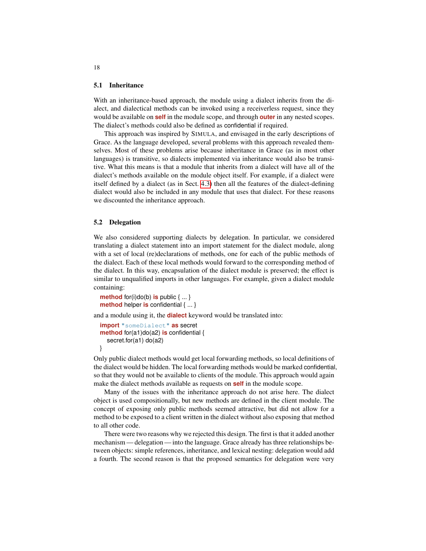#### 5.1 Inheritance

With an inheritance-based approach, the module using a dialect inherits from the dialect, and dialectical methods can be invoked using a receiverless request, since they would be available on **self** in the module scope, and through **outer** in any nested scopes. The dialect's methods could also be defined as confidential if required.

This approach was inspired by SIMULA, and envisaged in the early descriptions of Grace. As the language developed, several problems with this approach revealed themselves. Most of these problems arise because inheritance in Grace (as in most other languages) is transitive, so dialects implemented via inheritance would also be transitive. What this means is that a module that inherits from a dialect will have all of the dialect's methods available on the module object itself. For example, if a dialect were itself defined by a dialect (as in Sect. [4.3\)](#page-11-0) then all the features of the dialect-defining dialect would also be included in any module that uses that dialect. For these reasons we discounted the inheritance approach.

### 5.2 Delegation

We also considered supporting dialects by delegation. In particular, we considered translating a dialect statement into an import statement for the dialect module, along with a set of local (re)declarations of methods, one for each of the public methods of the dialect. Each of these local methods would forward to the corresponding method of the dialect. In this way, encapsulation of the dialect module is preserved; the effect is similar to unqualified imports in other languages. For example, given a dialect module containing:

```
method for(i)do(b) is public { ... }
method helper is confidential { ... }
```
and a module using it, the **dialect** keyword would be translated into:

```
import "someDialect" as secret
method for(a1)do(a2) is confidential {
  secret.for(a1) do(a2)
}
```
Only public dialect methods would get local forwarding methods, so local definitions of the dialect would be hidden. The local forwarding methods would be marked confidential, so that they would not be available to clients of the module. This approach would again make the dialect methods available as requests on **self** in the module scope.

Many of the issues with the inheritance approach do not arise here. The dialect object is used compositionally, but new methods are defined in the client module. The concept of exposing only public methods seemed attractive, but did not allow for a method to be exposed to a client written in the dialect without also exposing that method to all other code.

There were two reasons why we rejected this design. The first is that it added another mechanism — delegation — into the language. Grace already has three relationships between objects: simple references, inheritance, and lexical nesting: delegation would add a fourth. The second reason is that the proposed semantics for delegation were very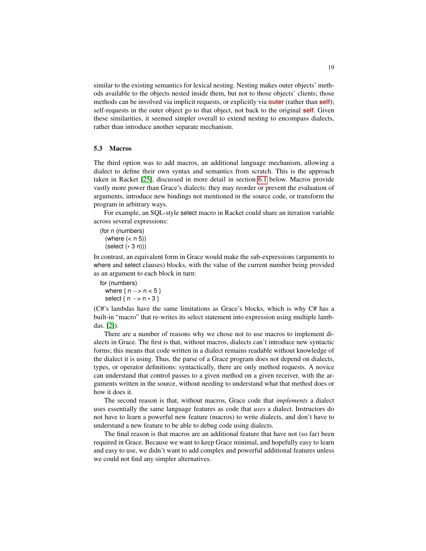similar to the existing semantics for lexical nesting. Nesting makes outer objects' methods available to the objects nested inside them, but not to those objects' clients; those methods can be involved via implicit requests, or explicitly via **outer** (rather than **self**); self-requests in the outer object go to that object, not back to the original **self**. Given these similarities, it seemed simpler overall to extend nesting to encompass dialects, rather than introduce another separate mechanism.

### 5.3 Macros

The third option was to add macros, an additional language mechanism, allowing a dialect to define their own syntax and semantics from scratch. This is the approach taken in Racket [\[25\]](#page-24-9), discussed in more detail in section [6.1](#page-19-1) below. Macros provide vastly more power than Grace's dialects: they may reorder or prevent the evaluation of arguments, introduce new bindings not mentioned in the source code, or transform the program in arbitrary ways.

For example, an SQL-style select macro in Racket could share an iteration variable across several expressions:

(for n (numbers) (where  $(<$  n 5)) (select ( \* 3 n)))

In contrast, an equivalent form in Grace would make the sub-expressions (arguments to where and select clauses) blocks, with the value of the current number being provided as an argument to each block in turn:

```
for (numbers)
  where \{ n - > n < 5 \}select { n -> n ∗ 3 }
```
(C#'s lambdas have the same limitations as Grace's blocks, which is why C# has a built-in "macro" that re-writes its select statement into expression using multiple lambdas. [\[2\]](#page-23-3)).

There are a number of reasons why we chose not to use macros to implement dialects in Grace. The first is that, without macros, dialects can't introduce new syntactic forms; this means that code written in a dialect remains readable without knowledge of the dialect it is using. Thus, the parse of a Grace program does not depend on dialects, types, or operator definitions: syntactically, there are only method requests. A novice can understand that control passes to a given method on a given receiver, with the arguments written in the source, without needing to understand what that method does or how it does it.

The second reason is that, without macros, Grace code that *implements* a dialect uses essentially the same language features as code that *uses* a dialect. Instructors do not have to learn a powerful new feature (macros) to write dialects, and don't have to understand a new feature to be able to debug code using dialects.

The final reason is that macros are an additional feature that have not (so far) been required in Grace. Because we want to keep Grace minimal, and hopefully easy to learn and easy to use, we didn't want to add complex and powerful additional features unless we could not find any simpler alternatives.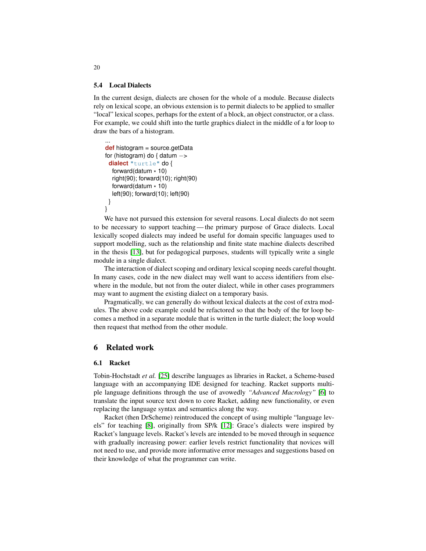#### 5.4 Local Dialects

In the current design, dialects are chosen for the whole of a module. Because dialects rely on lexical scope, an obvious extension is to permit dialects to be applied to smaller "local" lexical scopes, perhaps for the extent of a block, an object constructor, or a class. For example, we could shift into the turtle graphics dialect in the middle of a for loop to draw the bars of a histogram.

```
...
def histogram = source.getData
for (histogram) do { datum −>
 dialect "turtle" do {
   forward(datum *
10)
  right(90); forward(10); right(90)
   forward(datum *
10)
  left(90); forward(10); left(90)
 }
}
```
We have not pursued this extension for several reasons. Local dialects do not seem to be necessary to support teaching — the primary purpose of Grace dialects. Local lexically scoped dialects may indeed be useful for domain specific languages used to support modelling, such as the relationship and finite state machine dialects described in the thesis [\[13\]](#page-24-6), but for pedagogical purposes, students will typically write a single module in a single dialect.

The interaction of dialect scoping and ordinary lexical scoping needs careful thought. In many cases, code in the new dialect may well want to access identifiers from elsewhere in the module, but not from the outer dialect, while in other cases programmers may want to augment the existing dialect on a temporary basis.

Pragmatically, we can generally do without lexical dialects at the cost of extra modules. The above code example could be refactored so that the body of the for loop becomes a method in a separate module that is written in the turtle dialect; the loop would then request that method from the other module.

# <span id="page-19-0"></span>6 Related work

#### <span id="page-19-1"></span>6.1 Racket

Tobin-Hochstadt *et al.* [\[25\]](#page-24-9) describe languages as libraries in Racket, a Scheme-based language with an accompanying IDE designed for teaching. Racket supports multiple language definitions through the use of avowedly *"Advanced Macrology"* [\[6\]](#page-23-4) to translate the input source text down to core Racket, adding new functionality, or even replacing the language syntax and semantics along the way.

Racket (then DrScheme) reintroduced the concept of using multiple "language levels" for teaching [\[8\]](#page-23-2), originally from SP/k [\[12\]](#page-24-1): Grace's dialects were inspired by Racket's language levels. Racket's levels are intended to be moved through in sequence with gradually increasing power: earlier levels restrict functionality that novices will not need to use, and provide more informative error messages and suggestions based on their knowledge of what the programmer can write.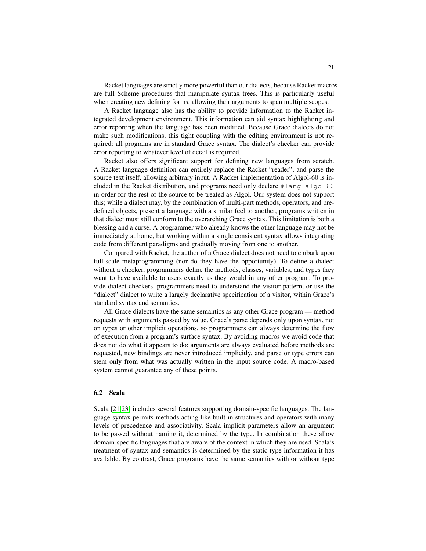Racket languages are strictly more powerful than our dialects, because Racket macros are full Scheme procedures that manipulate syntax trees. This is particularly useful when creating new defining forms, allowing their arguments to span multiple scopes.

A Racket language also has the ability to provide information to the Racket integrated development environment. This information can aid syntax highlighting and error reporting when the language has been modified. Because Grace dialects do not make such modifications, this tight coupling with the editing environment is not required: all programs are in standard Grace syntax. The dialect's checker can provide error reporting to whatever level of detail is required.

Racket also offers significant support for defining new languages from scratch. A Racket language definition can entirely replace the Racket "reader", and parse the source text itself, allowing arbitrary input. A Racket implementation of Algol-60 is included in the Racket distribution, and programs need only declare #lang algol60 in order for the rest of the source to be treated as Algol. Our system does not support this; while a dialect may, by the combination of multi-part methods, operators, and predefined objects, present a language with a similar feel to another, programs written in that dialect must still conform to the overarching Grace syntax. This limitation is both a blessing and a curse. A programmer who already knows the other language may not be immediately at home, but working within a single consistent syntax allows integrating code from different paradigms and gradually moving from one to another.

Compared with Racket, the author of a Grace dialect does not need to embark upon full-scale metaprogramming (nor do they have the opportunity). To define a dialect without a checker, programmers define the methods, classes, variables, and types they want to have available to users exactly as they would in any other program. To provide dialect checkers, programmers need to understand the visitor pattern, or use the "dialect" dialect to write a largely declarative specification of a visitor, within Grace's standard syntax and semantics.

All Grace dialects have the same semantics as any other Grace program — method requests with arguments passed by value. Grace's parse depends only upon syntax, not on types or other implicit operations, so programmers can always determine the flow of execution from a program's surface syntax. By avoiding macros we avoid code that does not do what it appears to do: arguments are always evaluated before methods are requested, new bindings are never introduced implicitly, and parse or type errors can stem only from what was actually written in the input source code. A macro-based system cannot guarantee any of these points.

#### 6.2 Scala

Scala [\[21,](#page-24-10)[23\]](#page-24-11) includes several features supporting domain-specific languages. The language syntax permits methods acting like built-in structures and operators with many levels of precedence and associativity. Scala implicit parameters allow an argument to be passed without naming it, determined by the type. In combination these allow domain-specific languages that are aware of the context in which they are used. Scala's treatment of syntax and semantics is determined by the static type information it has available. By contrast, Grace programs have the same semantics with or without type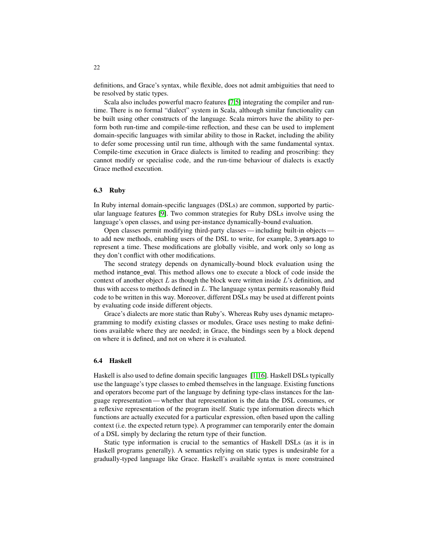definitions, and Grace's syntax, while flexible, does not admit ambiguities that need to be resolved by static types.

Scala also includes powerful macro features [\[7](#page-23-5)[,5\]](#page-23-6) integrating the compiler and runtime. There is no formal "dialect" system in Scala, although similar functionality can be built using other constructs of the language. Scala mirrors have the ability to perform both run-time and compile-time reflection, and these can be used to implement domain-specific languages with similar ability to those in Racket, including the ability to defer some processing until run time, although with the same fundamental syntax. Compile-time execution in Grace dialects is limited to reading and proscribing: they cannot modify or specialise code, and the run-time behaviour of dialects is exactly Grace method execution.

### 6.3 Ruby

In Ruby internal domain-specific languages (DSLs) are common, supported by particular language features [\[9\]](#page-23-7). Two common strategies for Ruby DSLs involve using the language's open classes, and using per-instance dynamically-bound evaluation.

Open classes permit modifying third-party classes — including built-in objects to add new methods, enabling users of the DSL to write, for example, 3.years.ago to represent a time. These modifications are globally visible, and work only so long as they don't conflict with other modifications.

The second strategy depends on dynamically-bound block evaluation using the method instance\_eval. This method allows one to execute a block of code inside the context of another object  $L$  as though the block were written inside  $L$ 's definition, and thus with access to methods defined in  $L$ . The language syntax permits reasonably fluid code to be written in this way. Moreover, different DSLs may be used at different points by evaluating code inside different objects.

Grace's dialects are more static than Ruby's. Whereas Ruby uses dynamic metaprogramming to modify existing classes or modules, Grace uses nesting to make definitions available where they are needed; in Grace, the bindings seen by a block depend on where it is defined, and not on where it is evaluated.

### 6.4 Haskell

Haskell is also used to define domain specific languages [\[1,](#page-23-8)[16\]](#page-24-12). Haskell DSLs typically use the language's type classes to embed themselves in the language. Existing functions and operators become part of the language by defining type-class instances for the language representation— whether that representation is the data the DSL consumes, or a reflexive representation of the program itself. Static type information directs which functions are actually executed for a particular expression, often based upon the calling context (i.e. the expected return type). A programmer can temporarily enter the domain of a DSL simply by declaring the return type of their function.

Static type information is crucial to the semantics of Haskell DSLs (as it is in Haskell programs generally). A semantics relying on static types is undesirable for a gradually-typed language like Grace. Haskell's available syntax is more constrained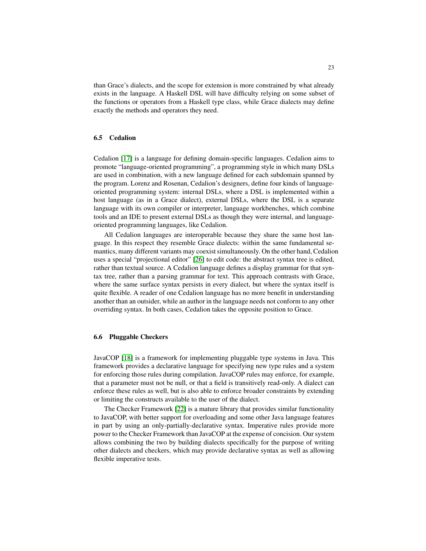than Grace's dialects, and the scope for extension is more constrained by what already exists in the language. A Haskell DSL will have difficulty relying on some subset of the functions or operators from a Haskell type class, while Grace dialects may define exactly the methods and operators they need.

### 6.5 Cedalion

Cedalion [\[17\]](#page-24-13) is a language for defining domain-specific languages. Cedalion aims to promote "language-oriented programming", a programming style in which many DSLs are used in combination, with a new language defined for each subdomain spanned by the program. Lorenz and Rosenan, Cedalion's designers, define four kinds of languageoriented programming system: internal DSLs, where a DSL is implemented within a host language (as in a Grace dialect), external DSLs, where the DSL is a separate language with its own compiler or interpreter, language workbenches, which combine tools and an IDE to present external DSLs as though they were internal, and languageoriented programming languages, like Cedalion.

All Cedalion languages are interoperable because they share the same host language. In this respect they resemble Grace dialects: within the same fundamental semantics, many different variants may coexist simultaneously. On the other hand, Cedalion uses a special "projectional editor" [\[26\]](#page-24-14) to edit code: the abstract syntax tree is edited, rather than textual source. A Cedalion language defines a display grammar for that syntax tree, rather than a parsing grammar for text. This approach contrasts with Grace, where the same surface syntax persists in every dialect, but where the syntax itself is quite flexible. A reader of one Cedalion language has no more benefit in understanding another than an outsider, while an author in the language needs not conform to any other overriding syntax. In both cases, Cedalion takes the opposite position to Grace.

#### 6.6 Pluggable Checkers

JavaCOP [\[18\]](#page-24-15) is a framework for implementing pluggable type systems in Java. This framework provides a declarative language for specifying new type rules and a system for enforcing those rules during compilation. JavaCOP rules may enforce, for example, that a parameter must not be null, or that a field is transitively read-only. A dialect can enforce these rules as well, but is also able to enforce broader constraints by extending or limiting the constructs available to the user of the dialect.

The Checker Framework [\[22\]](#page-24-16) is a mature library that provides similar functionality to JavaCOP, with better support for overloading and some other Java language features in part by using an only-partially-declarative syntax. Imperative rules provide more power to the Checker Framework than JavaCOP at the expense of concision. Our system allows combining the two by building dialects specifically for the purpose of writing other dialects and checkers, which may provide declarative syntax as well as allowing flexible imperative tests.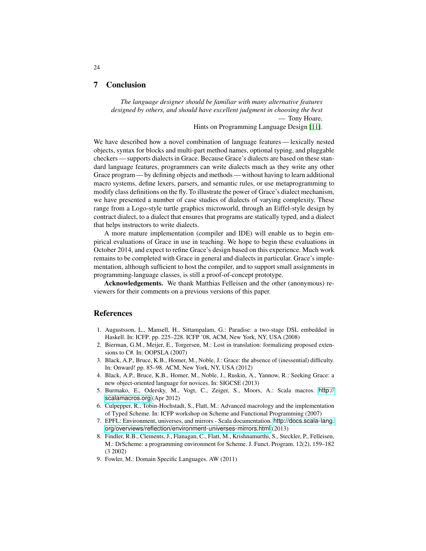# 7 Conclusion

*The language designer should be familiar with many alternative features designed by others, and should have excellent judgment in choosing the best* — Tony Hoare,

Hints on Programming Language Design [\[11\]](#page-24-17).

We have described how a novel combination of language features — lexically nested objects, syntax for blocks and multi-part method names, optional typing, and pluggable checkers — supports dialects in Grace. Because Grace's dialects are based on these standard language features, programmers can write dialects much as they write any other Grace program — by defining objects and methods— without having to learn additional macro systems, define lexers, parsers, and semantic rules, or use metaprogramming to modify class definitions on the fly. To illustrate the power of Grace's dialect mechanism, we have presented a number of case studies of dialects of varying complexity. These range from a Logo-style turtle graphics microworld, through an Eiffel-style design by contract dialect, to a dialect that ensures that programs are statically typed, and a dialect that helps instructors to write dialects.

A more mature implementation (compiler and IDE) will enable us to begin empirical evaluations of Grace in use in teaching. We hope to begin these evaluations in October 2014, and expect to refine Grace's design based on this experience. Much work remains to be completed with Grace in general and dialects in particular. Grace's implementation, although sufficient to host the compiler, and to support small assignments in programming-language classes, is still a proof-of-concept prototype.

Acknowledgements. We thank Matthias Felleisen and the other (anonymous) reviewers for their comments on a previous versions of this paper.

# References

- <span id="page-23-8"></span>1. Augustsson, L., Mansell, H., Sittampalam, G.: Paradise: a two-stage DSL embedded in Haskell. In: ICFP. pp. 225–228. ICFP '08, ACM, New York, NY, USA (2008)
- <span id="page-23-3"></span>2. Bierman, G.M., Meijer, E., Torgersen, M.: Lost in translation: formalizing proposed extensions to C#. In: OOPSLA (2007)
- <span id="page-23-0"></span>3. Black, A.P., Bruce, K.B., Homer, M., Noble, J.: Grace: the absence of (inessential) difficulty. In: Onward! pp. 85–98. ACM, New York, NY, USA (2012)
- <span id="page-23-1"></span>4. Black, A.P., Bruce, K.B., Homer, M., Noble, J., Ruskin, A., Yannow, R.: Seeking Grace: a new object-oriented language for novices. In: SIGCSE (2013)
- <span id="page-23-6"></span>5. Burmako, E., Odersky, M., Vogt, C., Zeiger, S., Moors, A.: Scala macros. [http://](http://scalamacros.org) [scalamacros.org](http://scalamacros.org) (Apr 2012)
- <span id="page-23-4"></span>6. Culpepper, R., Tobin-Hochstadt, S., Flatt, M.: Advanced macrology and the implementation of Typed Scheme. In: ICFP workshop on Scheme and Functional Programming (2007)
- <span id="page-23-5"></span>7. EPFL: Environment, universes, and mirrors - Scala documentation. [http://docs.scala-lang.](http://docs.scala-lang.org/overviews/reflection/environment-universes-mirrors.html) [org/overviews/reflection/environment-universes-mirrors.html](http://docs.scala-lang.org/overviews/reflection/environment-universes-mirrors.html) (2013)
- <span id="page-23-2"></span>8. Findler, R.B., Clements, J., Flanagan, C., Flatt, M., Krishnamurthi, S., Steckler, P., Felleisen, M.: DrScheme: a programming environment for Scheme. J. Funct. Program. 12(2), 159–182 (3 2002)
- <span id="page-23-7"></span>9. Fowler, M.: Domain Specific Languages. AW (2011)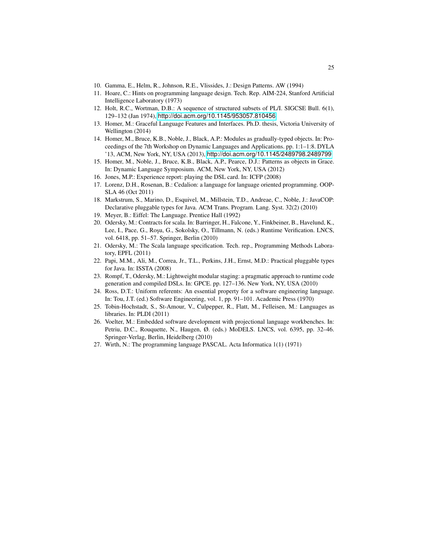- <span id="page-24-5"></span>10. Gamma, E., Helm, R., Johnson, R.E., Vlissides, J.: Design Patterns. AW (1994)
- <span id="page-24-17"></span>11. Hoare, C.: Hints on programming language design. Tech. Rep. AIM-224, Stanford Artificial Intelligence Laboratory (1973)
- <span id="page-24-1"></span>12. Holt, R.C., Wortman, D.B.: A sequence of structured subsets of PL/I. SIGCSE Bull. 6(1), 129–132 (Jan 1974), <http://doi.acm.org/10.1145/953057.810456>
- <span id="page-24-6"></span>13. Homer, M.: Graceful Language Features and Interfaces. Ph.D. thesis, Victoria University of Wellington (2014)
- <span id="page-24-4"></span>14. Homer, M., Bruce, K.B., Noble, J., Black, A.P.: Modules as gradually-typed objects. In: Proceedings of the 7th Workshop on Dynamic Languages and Applications. pp. 1:1–1:8. DYLA '13, ACM, New York, NY, USA (2013), <http://doi.acm.org/10.1145/2489798.2489799>
- <span id="page-24-3"></span>15. Homer, M., Noble, J., Bruce, K.B., Black, A.P., Pearce, D.J.: Patterns as objects in Grace. In: Dynamic Language Symposium. ACM, New York, NY, USA (2012)
- <span id="page-24-12"></span>16. Jones, M.P.: Experience report: playing the DSL card. In: ICFP (2008)
- <span id="page-24-13"></span>17. Lorenz, D.H., Rosenan, B.: Cedalion: a language for language oriented programming. OOP-SLA 46 (Oct 2011)
- <span id="page-24-15"></span>18. Markstrum, S., Marino, D., Esquivel, M., Millstein, T.D., Andreae, C., Noble, J.: JavaCOP: Declarative pluggable types for Java. ACM Trans. Program. Lang. Syst. 32(2) (2010)
- <span id="page-24-7"></span>19. Meyer, B.: Eiffel: The Language. Prentice Hall (1992)
- <span id="page-24-8"></span>20. Odersky, M.: Contracts for scala. In: Barringer, H., Falcone, Y., Finkbeiner, B., Havelund, K., Lee, I., Pace, G., Roşu, G., Sokolsky, O., Tillmann, N. (eds.) Runtime Verification. LNCS, vol. 6418, pp. 51–57. Springer, Berlin (2010)
- <span id="page-24-10"></span>21. Odersky, M.: The Scala language specification. Tech. rep., Programming Methods Laboratory, EPFL (2011)
- <span id="page-24-16"></span>22. Papi, M.M., Ali, M., Correa, Jr., T.L., Perkins, J.H., Ernst, M.D.: Practical pluggable types for Java. In: ISSTA (2008)
- <span id="page-24-11"></span>23. Rompf, T., Odersky, M.: Lightweight modular staging: a pragmatic approach to runtime code generation and compiled DSLs. In: GPCE. pp. 127–136. New York, NY, USA (2010)
- <span id="page-24-2"></span>24. Ross, D.T.: Uniform referents: An essential property for a software engineering language. In: Tou, J.T. (ed.) Software Engineering, vol. 1, pp. 91–101. Academic Press (1970)
- <span id="page-24-9"></span>25. Tobin-Hochstadt, S., St-Amour, V., Culpepper, R., Flatt, M., Felleisen, M.: Languages as libraries. In: PLDI (2011)
- <span id="page-24-14"></span>26. Voelter, M.: Embedded software development with projectional language workbenches. In: Petriu, D.C., Rouquette, N., Haugen, Ø. (eds.) MoDELS. LNCS, vol. 6395, pp. 32–46. Springer-Verlag, Berlin, Heidelberg (2010)
- <span id="page-24-0"></span>27. Wirth, N.: The programming language PASCAL. Acta Informatica 1(1) (1971)